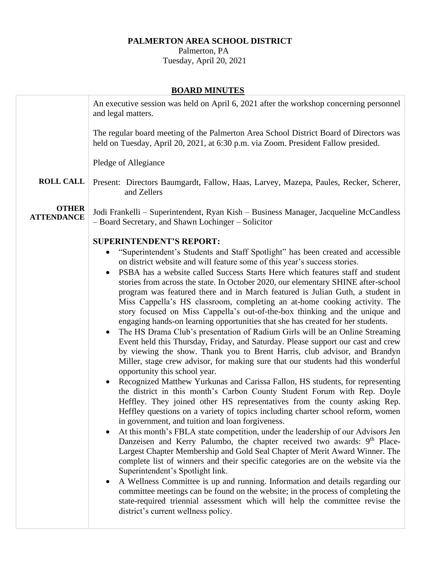# **PALMERTON AREA SCHOOL DISTRICT**

 Palmerton, PA Tuesday, April 20, 2021

## **BOARD MINUTES**

|                                   | An executive session was held on April 6, 2021 after the workshop concerning personnel<br>and legal matters.                                                                                                                                                                                                                                                                                                                                                                                                                                                                                                                                                                                                                                                                                                                                                                                                                                           |
|-----------------------------------|--------------------------------------------------------------------------------------------------------------------------------------------------------------------------------------------------------------------------------------------------------------------------------------------------------------------------------------------------------------------------------------------------------------------------------------------------------------------------------------------------------------------------------------------------------------------------------------------------------------------------------------------------------------------------------------------------------------------------------------------------------------------------------------------------------------------------------------------------------------------------------------------------------------------------------------------------------|
|                                   | The regular board meeting of the Palmerton Area School District Board of Directors was<br>held on Tuesday, April 20, 2021, at 6:30 p.m. via Zoom. President Fallow presided.                                                                                                                                                                                                                                                                                                                                                                                                                                                                                                                                                                                                                                                                                                                                                                           |
|                                   | Pledge of Allegiance                                                                                                                                                                                                                                                                                                                                                                                                                                                                                                                                                                                                                                                                                                                                                                                                                                                                                                                                   |
| <b>ROLL CALL</b>                  | Present: Directors Baumgardt, Fallow, Haas, Larvey, Mazepa, Paules, Recker, Scherer,<br>and Zellers                                                                                                                                                                                                                                                                                                                                                                                                                                                                                                                                                                                                                                                                                                                                                                                                                                                    |
| <b>OTHER</b><br><b>ATTENDANCE</b> | Jodi Frankelli – Superintendent, Ryan Kish – Business Manager, Jacqueline McCandless<br>- Board Secretary, and Shawn Lochinger - Solicitor                                                                                                                                                                                                                                                                                                                                                                                                                                                                                                                                                                                                                                                                                                                                                                                                             |
|                                   | <b>SUPERINTENDENT'S REPORT:</b><br>"Superintendent's Students and Staff Spotlight" has been created and accessible                                                                                                                                                                                                                                                                                                                                                                                                                                                                                                                                                                                                                                                                                                                                                                                                                                     |
|                                   | on district website and will feature some of this year's success stories.<br>PSBA has a website called Success Starts Here which features staff and student<br>stories from across the state. In October 2020, our elementary SHINE after-school<br>program was featured there and in March featured is Julian Guth, a student in<br>Miss Cappella's HS classroom, completing an at-home cooking activity. The<br>story focused on Miss Cappella's out-of-the-box thinking and the unique and<br>engaging hands-on learning opportunities that she has created for her students.<br>The HS Drama Club's presentation of Radium Girls will be an Online Streaming<br>Event held this Thursday, Friday, and Saturday. Please support our cast and crew<br>by viewing the show. Thank you to Brent Harris, club advisor, and Brandyn<br>Miller, stage crew advisor, for making sure that our students had this wonderful<br>opportunity this school year. |
|                                   | Recognized Matthew Yurkunas and Carissa Fallon, HS students, for representing<br>the district in this month's Carbon County Student Forum with Rep. Doyle<br>Heffley. They joined other HS representatives from the county asking Rep.<br>Heffley questions on a variety of topics including charter school reform, women<br>in government, and tuition and loan forgiveness.                                                                                                                                                                                                                                                                                                                                                                                                                                                                                                                                                                          |
|                                   | At this month's FBLA state competition, under the leadership of our Advisors Jen<br>Danzeisen and Kerry Palumbo, the chapter received two awards: 9 <sup>th</sup> Place-<br>Largest Chapter Membership and Gold Seal Chapter of Merit Award Winner. The<br>complete list of winners and their specific categories are on the website via the<br>Superintendent's Spotlight link.                                                                                                                                                                                                                                                                                                                                                                                                                                                                                                                                                                       |
|                                   | A Wellness Committee is up and running. Information and details regarding our<br>committee meetings can be found on the website; in the process of completing the<br>state-required triennial assessment which will help the committee revise the<br>district's current wellness policy.                                                                                                                                                                                                                                                                                                                                                                                                                                                                                                                                                                                                                                                               |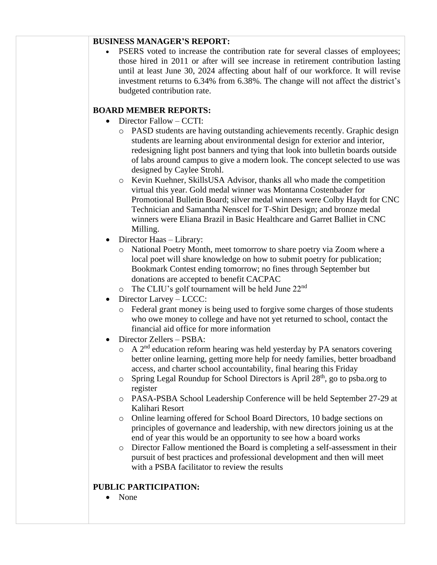#### **BUSINESS MANAGER'S REPORT:**

PSERS voted to increase the contribution rate for several classes of employees; those hired in 2011 or after will see increase in retirement contribution lasting until at least June 30, 2024 affecting about half of our workforce. It will revise investment returns to 6.34% from 6.38%. The change will not affect the district's budgeted contribution rate.

## **BOARD MEMBER REPORTS:**

- Director Fallow CCTI:
	- o PASD students are having outstanding achievements recently. Graphic design students are learning about environmental design for exterior and interior, redesigning light post banners and tying that look into bulletin boards outside of labs around campus to give a modern look. The concept selected to use was designed by Caylee Strohl.
	- o Kevin Kuehner, SkillsUSA Advisor, thanks all who made the competition virtual this year. Gold medal winner was Montanna Costenbader for Promotional Bulletin Board; silver medal winners were Colby Haydt for CNC Technician and Samantha Nenscel for T-Shirt Design; and bronze medal winners were Eliana Brazil in Basic Healthcare and Garret Balliet in CNC Milling.
- Director Haas Library:
	- o National Poetry Month, meet tomorrow to share poetry via Zoom where a local poet will share knowledge on how to submit poetry for publication; Bookmark Contest ending tomorrow; no fines through September but donations are accepted to benefit CACPAC
	- $\circ$  The CLIU's golf tournament will be held June 22<sup>nd</sup>
- Director Larvey LCCC:
	- o Federal grant money is being used to forgive some charges of those students who owe money to college and have not yet returned to school, contact the financial aid office for more information
- Director Zellers PSBA:
	- $\circ$  A 2<sup>nd</sup> education reform hearing was held yesterday by PA senators covering better online learning, getting more help for needy families, better broadband access, and charter school accountability, final hearing this Friday
	- $\circ$  Spring Legal Roundup for School Directors is April 28<sup>th</sup>, go to psba.org to register
	- o PASA-PSBA School Leadership Conference will be held September 27-29 at Kalihari Resort
	- o Online learning offered for School Board Directors, 10 badge sections on principles of governance and leadership, with new directors joining us at the end of year this would be an opportunity to see how a board works
	- o Director Fallow mentioned the Board is completing a self-assessment in their pursuit of best practices and professional development and then will meet with a PSBA facilitator to review the results

### **PUBLIC PARTICIPATION:**

• None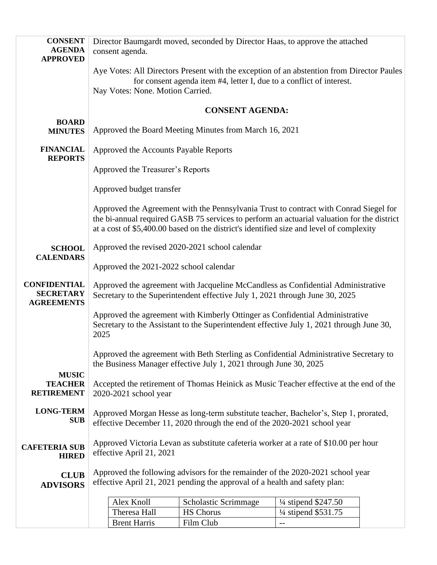| <b>CONSENT</b><br><b>AGENDA</b><br><b>APPROVED</b>           | consent agenda.                                                                                                                                                  | Director Baumgardt moved, seconded by Director Haas, to approve the attached |                                                                                                                                                                                                                                                                                |  |
|--------------------------------------------------------------|------------------------------------------------------------------------------------------------------------------------------------------------------------------|------------------------------------------------------------------------------|--------------------------------------------------------------------------------------------------------------------------------------------------------------------------------------------------------------------------------------------------------------------------------|--|
|                                                              | Nay Votes: None. Motion Carried.                                                                                                                                 | for consent agenda item #4, letter I, due to a conflict of interest.         | Aye Votes: All Directors Present with the exception of an abstention from Director Paules                                                                                                                                                                                      |  |
|                                                              |                                                                                                                                                                  | <b>CONSENT AGENDA:</b>                                                       |                                                                                                                                                                                                                                                                                |  |
| <b>BOARD</b><br><b>MINUTES</b>                               |                                                                                                                                                                  | Approved the Board Meeting Minutes from March 16, 2021                       |                                                                                                                                                                                                                                                                                |  |
| <b>FINANCIAL</b><br><b>REPORTS</b>                           | Approved the Accounts Payable Reports                                                                                                                            |                                                                              |                                                                                                                                                                                                                                                                                |  |
|                                                              | Approved the Treasurer's Reports                                                                                                                                 |                                                                              |                                                                                                                                                                                                                                                                                |  |
|                                                              | Approved budget transfer                                                                                                                                         |                                                                              |                                                                                                                                                                                                                                                                                |  |
|                                                              |                                                                                                                                                                  |                                                                              | Approved the Agreement with the Pennsylvania Trust to contract with Conrad Siegel for<br>the bi-annual required GASB 75 services to perform an actuarial valuation for the district<br>at a cost of \$5,400.00 based on the district's identified size and level of complexity |  |
| <b>SCHOOL</b><br><b>CALENDARS</b>                            |                                                                                                                                                                  | Approved the revised 2020-2021 school calendar                               |                                                                                                                                                                                                                                                                                |  |
|                                                              | Approved the 2021-2022 school calendar                                                                                                                           |                                                                              |                                                                                                                                                                                                                                                                                |  |
| <b>CONFIDENTIAL</b><br><b>SECRETARY</b><br><b>AGREEMENTS</b> | Approved the agreement with Jacqueline McCandless as Confidential Administrative<br>Secretary to the Superintendent effective July 1, 2021 through June 30, 2025 |                                                                              |                                                                                                                                                                                                                                                                                |  |
|                                                              | 2025                                                                                                                                                             | Approved the agreement with Kimberly Ottinger as Confidential Administrative | Secretary to the Assistant to the Superintendent effective July 1, 2021 through June 30,                                                                                                                                                                                       |  |
|                                                              |                                                                                                                                                                  | the Business Manager effective July 1, 2021 through June 30, 2025            | Approved the agreement with Beth Sterling as Confidential Administrative Secretary to                                                                                                                                                                                          |  |
| <b>MUSIC</b><br><b>TEACHER</b><br><b>RETIREMENT</b>          | 2020-2021 school year                                                                                                                                            |                                                                              | Accepted the retirement of Thomas Heinick as Music Teacher effective at the end of the                                                                                                                                                                                         |  |
| <b>LONG-TERM</b><br><b>SUB</b>                               | Approved Morgan Hesse as long-term substitute teacher, Bachelor's, Step 1, prorated,<br>effective December 11, 2020 through the end of the 2020-2021 school year |                                                                              |                                                                                                                                                                                                                                                                                |  |
| <b>CAFETERIA SUB</b><br><b>HIRED</b>                         | Approved Victoria Levan as substitute cafeteria worker at a rate of \$10.00 per hour<br>effective April 21, 2021                                                 |                                                                              |                                                                                                                                                                                                                                                                                |  |
| <b>CLUB</b><br><b>ADVISORS</b>                               | Approved the following advisors for the remainder of the 2020-2021 school year<br>effective April 21, 2021 pending the approval of a health and safety plan:     |                                                                              |                                                                                                                                                                                                                                                                                |  |
|                                                              | Alex Knoll                                                                                                                                                       | Scholastic Scrimmage                                                         | $\frac{1}{4}$ stipend \$247.50                                                                                                                                                                                                                                                 |  |
|                                                              | Theresa Hall                                                                                                                                                     | <b>HS</b> Chorus                                                             | $\frac{1}{4}$ stipend \$531.75                                                                                                                                                                                                                                                 |  |
|                                                              | <b>Brent Harris</b>                                                                                                                                              | Film Club                                                                    |                                                                                                                                                                                                                                                                                |  |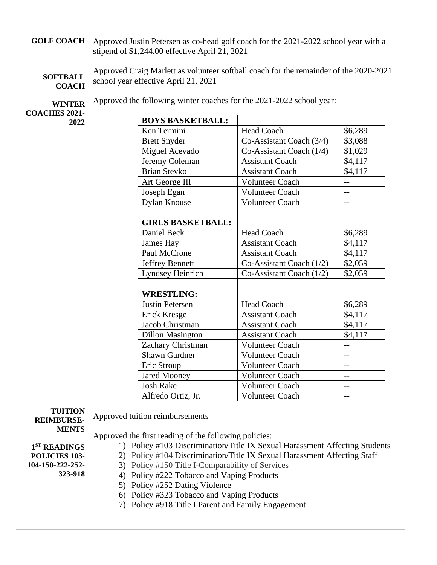| <b>GOLF COACH</b>                   | Approved Justin Petersen as co-head golf coach for the 2021-2022 school year with a                                           |                                                       |                                                                             |                          |
|-------------------------------------|-------------------------------------------------------------------------------------------------------------------------------|-------------------------------------------------------|-----------------------------------------------------------------------------|--------------------------|
|                                     |                                                                                                                               | stipend of \$1,244.00 effective April 21, 2021        |                                                                             |                          |
| <b>SOFTBALL</b><br><b>COACH</b>     | Approved Craig Marlett as volunteer softball coach for the remainder of the 2020-2021<br>school year effective April 21, 2021 |                                                       |                                                                             |                          |
| <b>WINTER</b>                       |                                                                                                                               |                                                       | Approved the following winter coaches for the 2021-2022 school year:        |                          |
| <b>COACHES 2021-</b>                |                                                                                                                               |                                                       |                                                                             |                          |
| 2022                                |                                                                                                                               | <b>BOYS BASKETBALL:</b><br>Ken Termini                | <b>Head Coach</b>                                                           | \$6,289                  |
|                                     |                                                                                                                               | <b>Brett Snyder</b>                                   | Co-Assistant Coach (3/4)                                                    | \$3,088                  |
|                                     |                                                                                                                               | Miguel Acevado                                        | Co-Assistant Coach $(1/4)$                                                  | \$1,029                  |
|                                     |                                                                                                                               | Jeremy Coleman                                        | <b>Assistant Coach</b>                                                      | \$4,117                  |
|                                     |                                                                                                                               | <b>Brian Stevko</b>                                   | <b>Assistant Coach</b>                                                      | \$4,117                  |
|                                     |                                                                                                                               | Art George III                                        | <b>Volunteer Coach</b>                                                      | $-$                      |
|                                     |                                                                                                                               | Joseph Egan                                           | <b>Volunteer Coach</b>                                                      | $-$                      |
|                                     |                                                                                                                               | <b>Dylan Knouse</b>                                   | <b>Volunteer Coach</b>                                                      | $\overline{\phantom{m}}$ |
|                                     |                                                                                                                               |                                                       |                                                                             |                          |
|                                     |                                                                                                                               | <b>GIRLS BASKETBALL:</b>                              |                                                                             |                          |
|                                     |                                                                                                                               | Daniel Beck                                           | <b>Head Coach</b>                                                           | \$6,289                  |
|                                     |                                                                                                                               | James Hay                                             | <b>Assistant Coach</b>                                                      | \$4,117                  |
|                                     |                                                                                                                               | Paul McCrone                                          | <b>Assistant Coach</b>                                                      | \$4,117                  |
|                                     |                                                                                                                               | <b>Jeffrey Bennett</b>                                | Co-Assistant Coach (1/2)                                                    | \$2,059                  |
|                                     |                                                                                                                               | Lyndsey Heinrich                                      | Co-Assistant Coach (1/2)                                                    | \$2,059                  |
|                                     |                                                                                                                               |                                                       |                                                                             |                          |
|                                     |                                                                                                                               | <b>WRESTLING:</b>                                     |                                                                             |                          |
|                                     |                                                                                                                               | Justin Petersen                                       | Head Coach<br><b>Assistant Coach</b>                                        | \$6,289                  |
|                                     |                                                                                                                               | Erick Kresge<br>Jacob Christman                       | <b>Assistant Coach</b>                                                      | \$4,117<br>\$4,117       |
|                                     |                                                                                                                               | <b>Dillon Masington</b>                               | <b>Assistant Coach</b>                                                      | \$4,117                  |
|                                     |                                                                                                                               | Zachary Christman                                     | Volunteer Coach                                                             | $--$                     |
|                                     |                                                                                                                               | <b>Shawn Gardner</b>                                  | Volunteer Coach                                                             |                          |
|                                     |                                                                                                                               | Eric Stroup                                           | <b>Volunteer Coach</b>                                                      | $-\, -$                  |
|                                     |                                                                                                                               | <b>Jared Mooney</b>                                   | Volunteer Coach                                                             |                          |
|                                     |                                                                                                                               | <b>Josh Rake</b>                                      | <b>Volunteer Coach</b>                                                      | $\overline{\phantom{m}}$ |
|                                     |                                                                                                                               | Alfredo Ortiz, Jr.                                    | <b>Volunteer Coach</b>                                                      | $-$                      |
| <b>TUITION</b><br><b>REIMBURSE-</b> |                                                                                                                               | Approved tuition reimbursements                       |                                                                             |                          |
| <b>MENTS</b>                        |                                                                                                                               |                                                       |                                                                             |                          |
|                                     |                                                                                                                               | Approved the first reading of the following policies: |                                                                             |                          |
| 1 <sup>ST</sup> READINGS            |                                                                                                                               |                                                       | 1) Policy #103 Discrimination/Title IX Sexual Harassment Affecting Students |                          |
| POLICIES 103-<br>104-150-222-252-   |                                                                                                                               |                                                       | 2) Policy #104 Discrimination/Title IX Sexual Harassment Affecting Staff    |                          |
| 323-918                             |                                                                                                                               | 3) Policy #150 Title I-Comparability of Services      |                                                                             |                          |
|                                     | 4) Policy #222 Tobacco and Vaping Products<br>5) Policy #252 Dating Violence                                                  |                                                       |                                                                             |                          |
|                                     |                                                                                                                               | 6) Policy #323 Tobacco and Vaping Products            |                                                                             |                          |
|                                     |                                                                                                                               | 7) Policy #918 Title I Parent and Family Engagement   |                                                                             |                          |
|                                     |                                                                                                                               |                                                       |                                                                             |                          |
|                                     |                                                                                                                               |                                                       |                                                                             |                          |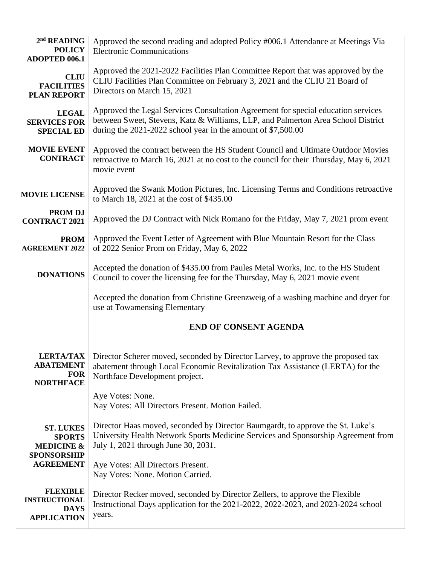| $2nd$ READING<br><b>POLICY</b><br><b>ADOPTED 006.1</b>                                               | Approved the second reading and adopted Policy #006.1 Attendance at Meetings Via<br><b>Electronic Communications</b>                                                                                                                  |  |  |  |
|------------------------------------------------------------------------------------------------------|---------------------------------------------------------------------------------------------------------------------------------------------------------------------------------------------------------------------------------------|--|--|--|
| <b>CLIU</b><br><b>FACILITIES</b><br><b>PLAN REPORT</b>                                               | Approved the 2021-2022 Facilities Plan Committee Report that was approved by the<br>CLIU Facilities Plan Committee on February 3, 2021 and the CLIU 21 Board of<br>Directors on March 15, 2021                                        |  |  |  |
| <b>LEGAL</b><br><b>SERVICES FOR</b><br><b>SPECIAL ED</b>                                             | Approved the Legal Services Consultation Agreement for special education services<br>between Sweet, Stevens, Katz & Williams, LLP, and Palmerton Area School District<br>during the 2021-2022 school year in the amount of \$7,500.00 |  |  |  |
| <b>MOVIE EVENT</b><br><b>CONTRACT</b>                                                                | Approved the contract between the HS Student Council and Ultimate Outdoor Movies<br>retroactive to March 16, 2021 at no cost to the council for their Thursday, May 6, 2021<br>movie event                                            |  |  |  |
| <b>MOVIE LICENSE</b>                                                                                 | Approved the Swank Motion Pictures, Inc. Licensing Terms and Conditions retroactive<br>to March 18, 2021 at the cost of \$435.00                                                                                                      |  |  |  |
| <b>PROMDJ</b><br><b>CONTRACT 2021</b>                                                                | Approved the DJ Contract with Nick Romano for the Friday, May 7, 2021 prom event                                                                                                                                                      |  |  |  |
| <b>PROM</b><br><b>AGREEMENT 2022</b>                                                                 | Approved the Event Letter of Agreement with Blue Mountain Resort for the Class<br>of 2022 Senior Prom on Friday, May 6, 2022                                                                                                          |  |  |  |
| <b>DONATIONS</b>                                                                                     | Accepted the donation of \$435.00 from Paules Metal Works, Inc. to the HS Student<br>Council to cover the licensing fee for the Thursday, May 6, 2021 movie event                                                                     |  |  |  |
|                                                                                                      | Accepted the donation from Christine Greenzweig of a washing machine and dryer for<br>use at Towamensing Elementary                                                                                                                   |  |  |  |
|                                                                                                      | <b>END OF CONSENT AGENDA</b>                                                                                                                                                                                                          |  |  |  |
| <b>LERTA/TAX</b><br><b>ABATEMENT</b><br><b>FOR</b><br><b>NORTHFACE</b>                               | Director Scherer moved, seconded by Director Larvey, to approve the proposed tax<br>abatement through Local Economic Revitalization Tax Assistance (LERTA) for the<br>Northface Development project.                                  |  |  |  |
|                                                                                                      | Aye Votes: None.<br>Nay Votes: All Directors Present. Motion Failed.                                                                                                                                                                  |  |  |  |
| <b>ST. LUKES</b><br><b>SPORTS</b><br><b>MEDICINE &amp;</b><br><b>SPONSORSHIP</b><br><b>AGREEMENT</b> | Director Haas moved, seconded by Director Baumgardt, to approve the St. Luke's<br>University Health Network Sports Medicine Services and Sponsorship Agreement from<br>July 1, 2021 through June 30, 2031.                            |  |  |  |
|                                                                                                      | Aye Votes: All Directors Present.<br>Nay Votes: None. Motion Carried.                                                                                                                                                                 |  |  |  |
| <b>FLEXIBLE</b><br><b>INSTRUCTIONAL</b><br><b>DAYS</b><br><b>APPLICATION</b>                         | Director Recker moved, seconded by Director Zellers, to approve the Flexible<br>Instructional Days application for the 2021-2022, 2022-2023, and 2023-2024 school<br>years.                                                           |  |  |  |